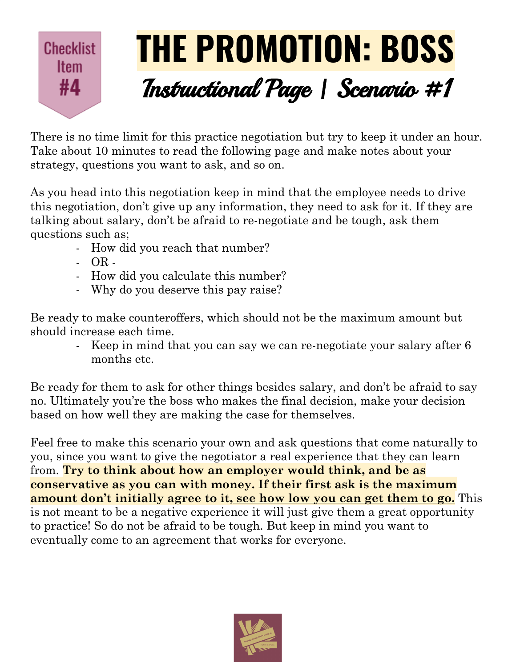## **THE PROMOTION: BOSS Checklist Item** Instructional Page | Scenario #1 #4

There is no time limit for this practice negotiation but try to keep it under an hour. Take about 10 minutes to read the following page and make notes about your strategy, questions you want to ask, and so on.

As you head into this negotiation keep in mind that the employee needs to drive this negotiation, don't give up any information, they need to ask for it. If they are talking about salary, don't be afraid to re-negotiate and be tough, ask them questions such as;

- How did you reach that number?
- OR -
- How did you calculate this number?
- Why do you deserve this pay raise?

Be ready to make counteroffers, which should not be the maximum amount but should increase each time.

- Keep in mind that you can say we can re-negotiate your salary after 6 months etc.

Be ready for them to ask for other things besides salary, and don't be afraid to say no. Ultimately you're the boss who makes the final decision, make your decision based on how well they are making the case for themselves.

Feel free to make this scenario your own and ask questions that come naturally to you, since you want to give the negotiator a real experience that they can learn from. **Try to think about how an employer would think, and be as conservative as you can with money. If their first ask is the maximum amount don't initially agree to it, see how low you can get them to go.** This is not meant to be a negative experience it will just give them a great opportunity to practice! So do not be afraid to be tough. But keep in mind you want to eventually come to an agreement that works for everyone.

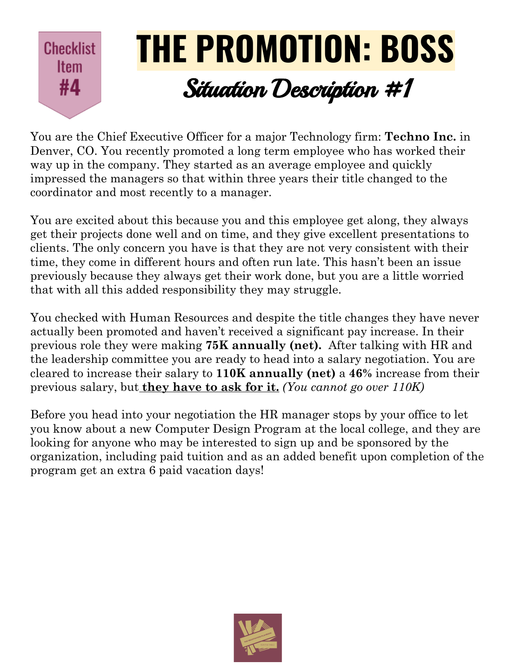

You are the Chief Executive Officer for a major Technology firm: **Techno Inc.** in Denver, CO. You recently promoted a long term employee who has worked their way up in the company. They started as an average employee and quickly impressed the managers so that within three years their title changed to the coordinator and most recently to a manager.

You are excited about this because you and this employee get along, they always get their projects done well and on time, and they give excellent presentations to clients. The only concern you have is that they are not very consistent with their time, they come in different hours and often run late. This hasn't been an issue previously because they always get their work done, but you are a little worried that with all this added responsibility they may struggle.

You checked with Human Resources and despite the title changes they have never actually been promoted and haven't received a significant pay increase. In their previous role they were making **75K annually (net).** After talking with HR and the leadership committee you are ready to head into a salary negotiation. You are cleared to increase their salary to **110K annually (net)** a **46%** increase from their previous salary, but **they have to ask for it.** *(You cannot go over 110K)*

Before you head into your negotiation the HR manager stops by your office to let you know about a new Computer Design Program at the local college, and they are looking for anyone who may be interested to sign up and be sponsored by the organization, including paid tuition and as an added benefit upon completion of the program get an extra 6 paid vacation days!